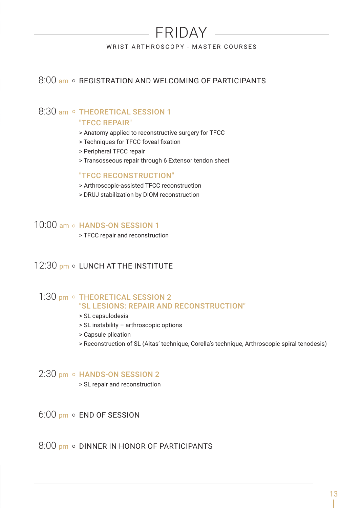# FRIDAY

WRIST ARTHROSCOPY - MASTER COURSES

## 8:00 am o REGISTRATION AND WELCOMING OF PARTICIPANTS

### 8:30 am o THEORETICAL SESSION 1 "TFCC REPAIR"

- > Anatomy applied to reconstructive surgery for TFCC
- > Techniques for TFCC foveal fixation
- > Peripheral TFCC repair
- > Transosseous repair through 6 Extensor tendon sheet

#### "TFCC RECONSTRUCTION"

- > Arthroscopic-assisted TFCC reconstruction
- > DRUJ stabilization by DIOM reconstruction

## 10:00 am o HANDS-ON SESSION 1

> TFCC repair and reconstruction

# 12:30 pm o LUNCH AT THE INSTITUTE

### 1:30 pm o THEORETICAL SESSION 2 "SL LESIONS: REPAIR AND RECONSTRUCTION"

- > SL capsulodesis
- > SL instability arthroscopic options
- > Capsule plication
- > Reconstruction of SL (Aitas' technique, Corella's technique, Arthroscopic spiral tenodesis)

### $2:30$  pm  $\circ$  HANDS-ON SESSION 2

> SL repair and reconstruction

 $6:00$  pm  $\circ$  END OF SESSION

 $8:00$  pm  $\circ$  DINNER IN HONOR OF PARTICIPANTS